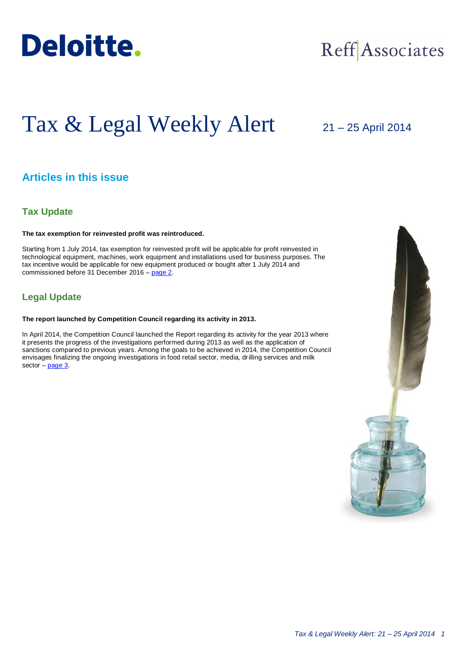

## Reff Associates

# Tax & Legal Weekly Alert

## 21 – 25 April 2014

## **Articles in this issue**

### **Tax Update**

#### **The tax exemption for reinvested profit was reintroduced.**

Starting from 1 July 2014, tax exemption for reinvested profit will be applicable for profit reinvested in technological equipment, machines, work equipment and installations used for business purposes. The tax incentive would be applicable for new equipment produced or bought after 1 July 2014 and commissioned before 31 December 2016 – [page 2.](#page-1-0)

## **Legal Update**

#### **The report launched by Competition Council regarding its activity in 2013.**

In April 2014, the Competition Council launched the Report regarding its activity for the year 2013 where it presents the progress of the investigations performed during 2013 as well as the application of sanctions compared to previous years. Among the goals to be achieved in 2014, the Competition Council envisages finalizing the ongoing investigations in food retail sector, media, drilling services and milk sector  $-\frac{1}{2}$ 

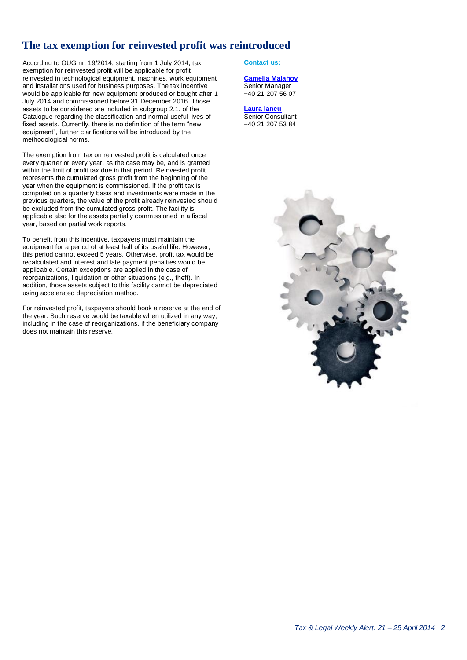## <span id="page-1-0"></span>**The tax exemption for reinvested profit was reintroduced**

According to OUG nr. 19/2014, starting from 1 July 2014, tax exemption for reinvested profit will be applicable for profit reinvested in technological equipment, machines, work equipment and installations used for business purposes. The tax incentive would be applicable for new equipment produced or bought after 1 July 2014 and commissioned before 31 December 2016. Those assets to be considered are included in subgroup 2.1. of the Catalogue regarding the classification and normal useful lives of fixed assets. Currently, there is no definition of the term "new equipment", further clarifications will be introduced by the methodological norms.

The exemption from tax on reinvested profit is calculated once every quarter or every year, as the case may be, and is granted within the limit of profit tax due in that period. Reinvested profit represents the cumulated gross profit from the beginning of the year when the equipment is commissioned. If the profit tax is computed on a quarterly basis and investments were made in the previous quarters, the value of the profit already reinvested should be excluded from the cumulated gross profit. The facility is applicable also for the assets partially commissioned in a fiscal year, based on partial work reports.

To benefit from this incentive, taxpayers must maintain the equipment for a period of at least half of its useful life. However, this period cannot exceed 5 years. Otherwise, profit tax would be recalculated and interest and late payment penalties would be applicable. Certain exceptions are applied in the case of reorganizations, liquidation or other situations (e.g., theft). In addition, those assets subject to this facility cannot be depreciated using accelerated depreciation method.

For reinvested profit, taxpayers should book a reserve at the end of the year. Such reserve would be taxable when utilized in any way, including in the case of reorganizations, if the beneficiary company does not maintain this reserve.

#### **Contact us:**

#### **[Camelia Malahov](mailto:cmalahov@deloittece.com)**

Senior Manager +40 21 207 56 07

**[Laura Iancu](mailto:giancu@deloittece.com) Senior Consultant** +40 21 207 53 84

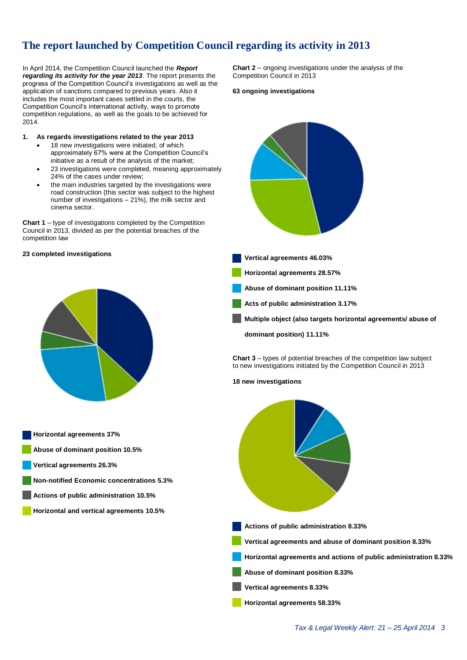## **The report launched by Competition Council regarding its activity in 2013**

In April 2014, the Competition Council launched the *Report regarding its activity for the year 2013*. The report presents the progress of the Competition Council's investigations as well as the application of sanctions compared to previous years. Also it includes the most important cases settled in the courts, the Competition Council's international activity, ways to promote competition regulations, as well as the goals to be achieved for 2014.

#### **1. As regards investigations related to the year 2013**

- 18 new investigations were initiated, of which approximately 67% were at the Competition Council's initiative as a result of the analysis of the market;
- 23 investigations were completed, meaning approximately 24% of the cases under review;
- the main industries targeted by the investigations were road construction (this sector was subject to the highest number of investigations – 21%), the milk sector and cinema sector.

**Chart 1** – type of investigations completed by the Competition Council in 2013, divided as per the potential breaches of the competition law

#### **23 completed investigations**



**Horizontal agreements 37% Abuse of dominant position 10.5% Vertical agreements 26.3% Non-notified Economic concentrations 5.3% Actions of public administration 10.5% Horizontal and vertical agreements 10.5%**

<span id="page-2-0"></span>**Chart 2** – ongoing investigations under the analysis of the Competition Council in 2013

#### **63 ongoing investigations**



**Chart 3** – types of potential breaches of the competition law subject to new investigations initiated by the Competition Council in 2013

#### **18 new investigations**

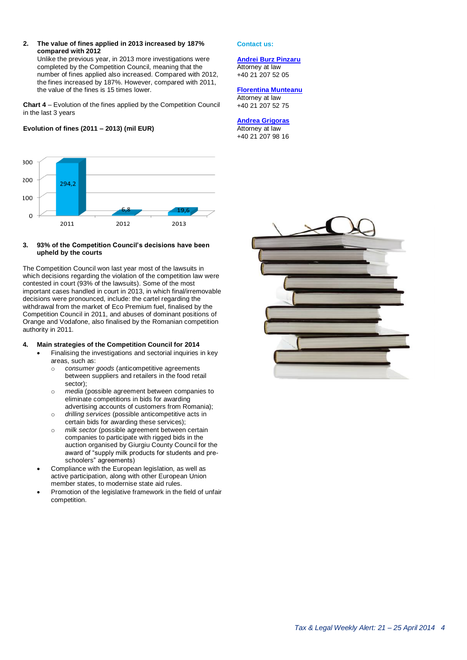#### **2. The value of fines applied in 2013 increased by 187% compared with 2012**

Unlike the previous year, in 2013 more investigations were completed by the Competition Council, meaning that the number of fines applied also increased. Compared with 2012, the fines increased by 187%. However, compared with 2011, the value of the fines is 15 times lower.

**Chart 4** – Evolution of the fines applied by the Competition Council in the last 3 years

#### **Evolution of fines (2011 – 2013) (mil EUR)**



#### **3. 93% of the Competition Council's decisions have been upheld by the courts**

The Competition Council won last year most of the lawsuits in which decisions regarding the violation of the competition law were contested in court (93% of the lawsuits). Some of the most important cases handled in court in 2013, in which final/irremovable decisions were pronounced, include: the cartel regarding the withdrawal from the market of Eco Premium fuel, finalised by the Competition Council in 2011, and abuses of dominant positions of Orange and Vodafone, also finalised by the Romanian competition authority in 2011.

#### **4. Main strategies of the Competition Council for 2014**

- Finalising the investigations and sectorial inquiries in key areas, such as:
	- o *consumer goods* (anticompetitive agreements between suppliers and retailers in the food retail sector);
	- o *media* (possible agreement between companies to eliminate competitions in bids for awarding advertising accounts of customers from Romania);
	- o *drilling services* (possible anticompetitive acts in certain bids for awarding these services);
	- o *milk sector* (possible agreement between certain companies to participate with rigged bids in the auction organised by Giurgiu County Council for the award of "supply milk products for students and preschoolers" agreements)
- Compliance with the European legislation, as well as active participation, along with other European Union member states, to modernise state aid rules.
- Promotion of the legislative framework in the field of unfair competition.

#### **Contact us:**

#### **[Andrei Burz Pinzaru](mailto:aburzpinzaru@deloittece.com)**

Attorney at law +40 21 207 52 05

#### **[Florentina Munteanu](mailto:fmunteanu@deloittece.com)**

Attorney at law +40 21 207 52 75

#### **[Andrea Grigoras](mailto:agrigoras@deloittece.com)**

Attorney at law +40 21 207 98 16